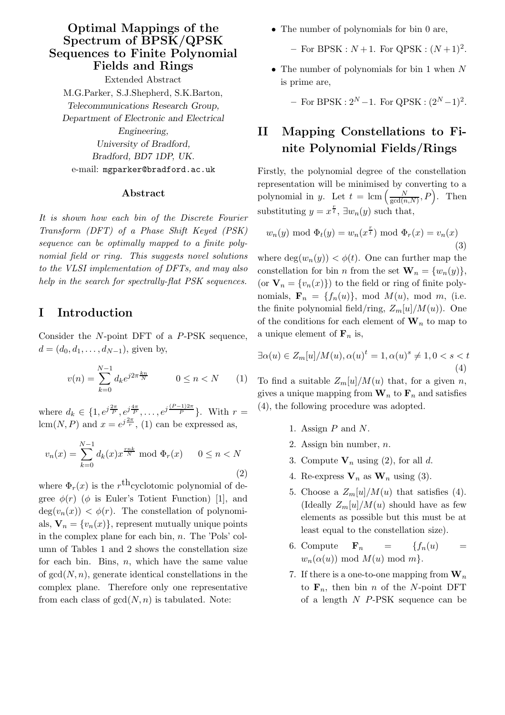### Optimal Mappings of the Spectrum of BPSK/QPSK Sequences to Finite Polynomial Fields and Rings

Extended Abstract M.G.Parker, S.J.Shepherd, S.K.Barton, Telecommunications Research Group, Department of Electronic and Electrical Engineering, University of Bradford, Bradford, BD7 1DP, UK. e-mail: mgparker@bradford.ac.uk

#### Abstract

It is shown how each bin of the Discrete Fourier Transform (DFT) of a Phase Shift Keyed (PSK) sequence can be optimally mapped to a finite polynomial field or ring. This suggests novel solutions to the VLSI implementation of DFTs, and may also help in the search for spectrally-flat PSK sequences.

### I Introduction

Consider the N-point DFT of a P-PSK sequence,  $d = (d_0, d_1, \ldots, d_{N-1})$ , given by,

$$
v(n) = \sum_{k=0}^{N-1} d_k e^{j2\pi \frac{k n}{N}} \qquad 0 \le n < N \qquad (1)
$$

where  $d_k \in \{1, e^{j\frac{2\pi}{p}}, e^{j\frac{4\pi}{p}}, \dots, e^{j\frac{(P-1)2\pi}{p}}\}$ . With  $r =$ lcm(N, P) and  $x = e^{j\frac{2\pi}{r}}$ , (1) can be expressed as,

$$
v_n(x) = \sum_{k=0}^{N-1} d_k(x) x^{\frac{rnk}{N}} \text{ mod } \Phi_r(x) \qquad 0 \le n < N
$$
\n(2)

where  $\Phi_r(x)$  is the  $r^{\text{th}}$ cyclotomic polynomial of degree  $\phi(r)$  ( $\phi$  is Euler's Totient Function) [1], and  $deg(v_n(x)) < \phi(r)$ . The constellation of polynomials,  $\mathbf{V}_n = \{v_n(x)\}\text{, represent mutually unique points}$ in the complex plane for each bin, n. The 'Pols' column of Tables 1 and 2 shows the constellation size for each bin. Bins,  $n$ , which have the same value of  $gcd(N, n)$ , generate identical constellations in the complex plane. Therefore only one representative from each class of  $gcd(N, n)$  is tabulated. Note:

• The number of polynomials for bin 0 are,

- For BPSK :  $N+1$ . For QPSK :  $(N+1)^2$ .

• The number of polynomials for bin 1 when N is prime are,

 $-$  For BPSK :  $2^N - 1$ . For QPSK :  $(2^N - 1)^2$ .

# II Mapping Constellations to Finite Polynomial Fields/Rings

Firstly, the polynomial degree of the constellation representation will be minimised by converting to a polynomial in y. Let  $t = \text{lcm} \left( \frac{N}{\text{gcd}(n)} \right)$  $\frac{N}{\gcd(n,N)}, P$ . Then substituting  $y = x^{\frac{r}{t}}, \exists w_n(y)$  such that,

$$
w_n(y) \bmod \Phi_t(y) = w_n(x^{\frac{r}{t}}) \bmod \Phi_r(x) = v_n(x)
$$
\n(3)

where  $\deg(w_n(y)) < \phi(t)$ . One can further map the constellation for bin *n* from the set  $\mathbf{W}_n = \{w_n(y)\},\$ (or  $\mathbf{V}_n = \{v_n(x)\}\)$  to the field or ring of finite polynomials,  $\mathbf{F}_n = \{f_n(u)\}\text{, mod }M(u)\text{, mod }m\text{, (i.e.}\}$ the finite polynomial field/ring,  $Z_m[u]/M(u)$ ). One of the conditions for each element of  $\mathbf{W}_n$  to map to a unique element of  $\mathbf{F}_n$  is,

$$
\exists \alpha(u) \in Z_m[u]/M(u), \alpha(u)^t = 1, \alpha(u)^s \neq 1, 0 < s < t
$$
\n
$$
\tag{4}
$$

To find a suitable  $Z_m[u]/M(u)$  that, for a given n, gives a unique mapping from  $\mathbf{W}_n$  to  $\mathbf{F}_n$  and satisfies (4), the following procedure was adopted.

- 1. Assign  $P$  and  $N$ .
- 2. Assign bin number,  $n$ .
- 3. Compute  $V_n$  using (2), for all d.
- 4. Re-express  $V_n$  as  $W_n$  using (3).
- 5. Choose a  $Z_m[u]/M(u)$  that satisfies (4). (Ideally  $Z_m[u]/M(u)$  should have as few elements as possible but this must be at least equal to the constellation size).
- 6. Compute  $\mathbf{F}_n = \{f_n(u) =$  $w_n(\alpha(u)) \mod M(u) \mod m$ .
- 7. If there is a one-to-one mapping from  $\mathbf{W}_n$ to  $\mathbf{F}_n$ , then bin *n* of the *N*-point DFT of a length  $N$  P-PSK sequence can be